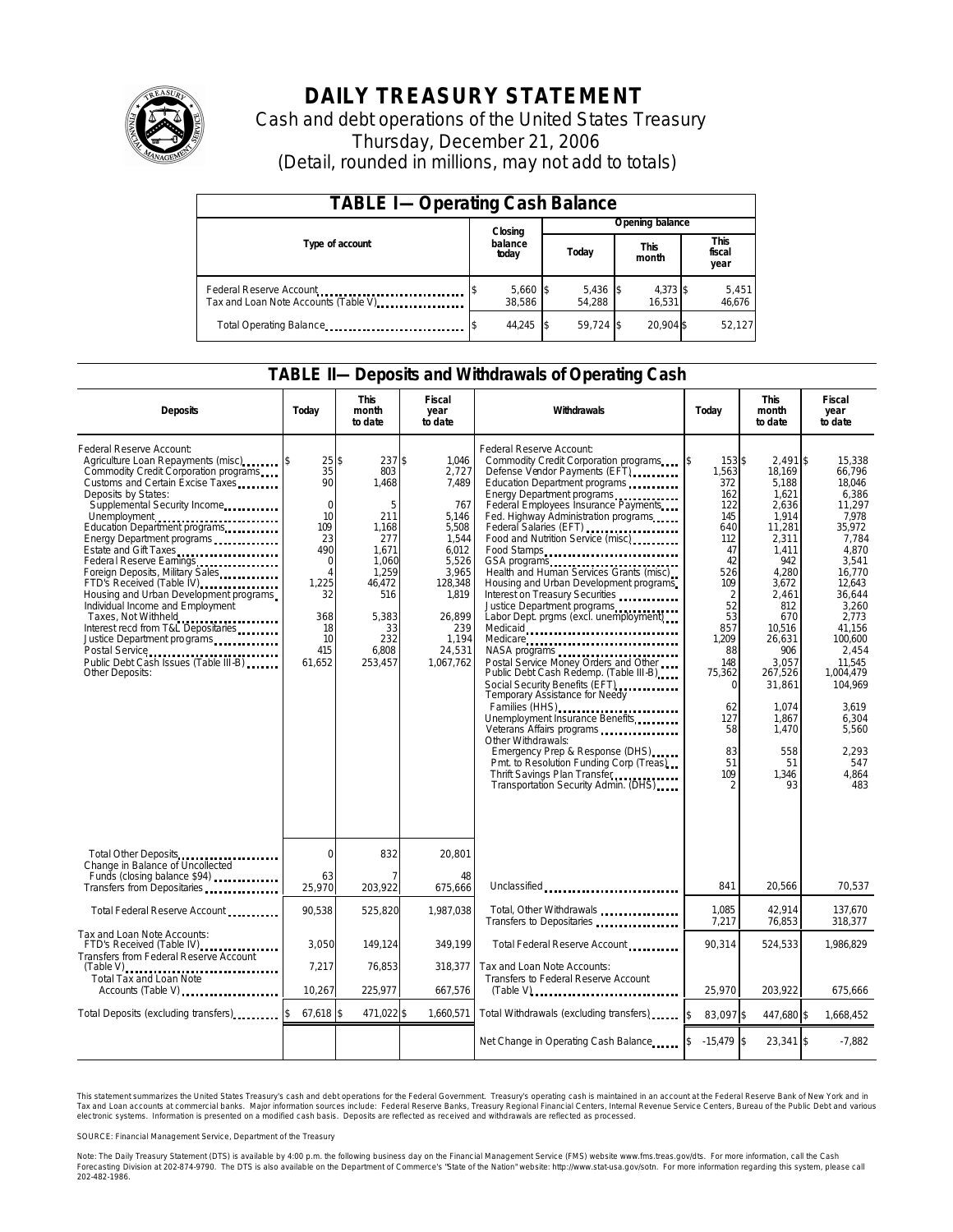

# **DAILY TREASURY STATEMENT**

Cash and debt operations of the United States Treasury Thursday, December 21, 2006 (Detail, rounded in millions, may not add to totals)

| <b>TABLE I-Operating Cash Balance</b>                           |                      |  |                      |                      |                    |                               |                 |  |  |
|-----------------------------------------------------------------|----------------------|--|----------------------|----------------------|--------------------|-------------------------------|-----------------|--|--|
|                                                                 | Closing              |  | Opening balance      |                      |                    |                               |                 |  |  |
| Type of account                                                 | balance<br>today     |  | Today                | <b>This</b><br>month |                    | <b>This</b><br>fiscal<br>year |                 |  |  |
| Federal Reserve Account<br>Tax and Loan Note Accounts (Table V) | $5,660$ \$<br>38.586 |  | $5,436$ \$<br>54.288 |                      | 4,373 \$<br>16.531 |                               | 5,451<br>46,676 |  |  |
| Total Operating Balance                                         | 44.245 \$            |  | 59.724 \$            |                      | 20.904 \$          |                               | 52,127          |  |  |

#### **TABLE II—Deposits and Withdrawals of Operating Cash**

| <b>Deposits</b>                                                                                                                                                                                                                                                                                                                                                                                                                                                                                                                                                                                          | Today                                                                                                                           | <b>This</b><br>month<br>to date                                                                                                        | <b>Fiscal</b><br>year<br>to date                                                                                                                          | Withdrawals                                                                                                                                                                                                                                                                                                                                                                                                                                                                                                                                                                                                                                                                                                                                                                                                                                                                                                                                                                           | Today                                                                                                                                                                                                           | <b>This</b><br>month<br>to date                                                                                                                                                                                                                      | <b>Fiscal</b><br>year<br>to date                                                                                                                                                                                                                                       |
|----------------------------------------------------------------------------------------------------------------------------------------------------------------------------------------------------------------------------------------------------------------------------------------------------------------------------------------------------------------------------------------------------------------------------------------------------------------------------------------------------------------------------------------------------------------------------------------------------------|---------------------------------------------------------------------------------------------------------------------------------|----------------------------------------------------------------------------------------------------------------------------------------|-----------------------------------------------------------------------------------------------------------------------------------------------------------|---------------------------------------------------------------------------------------------------------------------------------------------------------------------------------------------------------------------------------------------------------------------------------------------------------------------------------------------------------------------------------------------------------------------------------------------------------------------------------------------------------------------------------------------------------------------------------------------------------------------------------------------------------------------------------------------------------------------------------------------------------------------------------------------------------------------------------------------------------------------------------------------------------------------------------------------------------------------------------------|-----------------------------------------------------------------------------------------------------------------------------------------------------------------------------------------------------------------|------------------------------------------------------------------------------------------------------------------------------------------------------------------------------------------------------------------------------------------------------|------------------------------------------------------------------------------------------------------------------------------------------------------------------------------------------------------------------------------------------------------------------------|
| Federal Reserve Account:<br>Commodity Credit Corporation programs<br>Customs and Certain Excise Taxes<br>Deposits by States:<br>Supplemental Security Income<br>Unemployment<br>Education Department programs<br>Energy Department programs<br>Estate and Gift Taxes<br>Federal Reserve Earnings<br>Foreign Deposits, Military Sales<br>FTD's Received (Table IV)<br>Housing and Urban Development programs<br>Individual Income and Employment<br>Taxes, Not Withheld<br>Interest recd from T&L Depositaries<br>Justice Department programs<br>Public Debt Cash Issues (Table III-B)<br>Other Deposits: | 25s<br>35<br>90<br>$\mathbf 0$<br>10<br>109<br>23<br>490<br>$\mathbf 0$<br>Δ<br>1.225<br>32<br>368<br>18<br>10<br>415<br>61,652 | 237S<br>803<br>1.468<br>5<br>211<br>1,168<br>277<br>1.671<br>1.060<br>1,259<br>46.472<br>516<br>5.383<br>33<br>232<br>6,808<br>253,457 | 1.046<br>2,727<br>7.489<br>767<br>5,146<br>5,508<br>1,544<br>6,012<br>5,526<br>3.965<br>128,348<br>1,819<br>26.899<br>239<br>1,194<br>24,531<br>1,067,762 | Federal Reserve Account:<br>Commodity Credit Corporation programs<br>Defense Vendor Payments (EFT)<br>Education Department programs<br>Energy Department programs<br>Federal Employees Insurance Payments<br>Fed. Highway Administration programs<br>Federal Salaries (EFT)<br>Food and Nutrition Service (misc)<br>Food Stamps<br>GSA programs<br>Health and Human Services Grants (misc)<br>Housing and Urban Development programs<br>Interest on Treasury Securities<br>Justice Department programs<br>Labor Dept. prgms (excl. unemployment)<br>Medicaid<br>Medicare<br>NASA programs<br>Postal Service Money Orders and Other<br>Public Debt Cash Redemp. (Table III-B)<br>Social Security Benefits (EFT)<br><br>Temporary Assistance for Needy<br>Families (HHS)<br>Unemployment Insurance Benefits<br>Other Withdrawals:<br>Emergency Prep & Response (DHS)<br>Pmt. to Resolution Funding Corp (Treas)<br>Thrift Savings Plan Transfer<br>Transportation Security Admin. (DHS) | 153\$<br>ß.<br>1,563<br>372<br>162<br>122<br>145<br>640<br>112<br>47<br>42<br>526<br>109<br>$\overline{2}$<br>52<br>53<br>857<br>1,209<br>88<br>148<br>75,362<br>$\Omega$<br>62<br>127<br>58<br>83<br>51<br>109 | $2.491$ \$<br>18.169<br>5.188<br>1.621<br>2,636<br>1,914<br>11,281<br>2,311<br>1.411<br>942<br>4.280<br>3,672<br>2,461<br>812<br>670<br>10.516<br>26.631<br>906<br>3,057<br>267,526<br>31,861<br>1,074<br>1,867<br>1,470<br>558<br>51<br>1,346<br>93 | 15.338<br>66.796<br>18.046<br>6.386<br>11,297<br>7.978<br>35,972<br>7,784<br>4.870<br>3.541<br>16.770<br>12.643<br>36.644<br>3,260<br>2.773<br>41.156<br>100.600<br>2,454<br>11,545<br>1,004,479<br>104,969<br>3,619<br>6,304<br>5,560<br>2,293<br>547<br>4.864<br>483 |
| Total Other Deposits                                                                                                                                                                                                                                                                                                                                                                                                                                                                                                                                                                                     | $\mathbf 0$                                                                                                                     | 832                                                                                                                                    | 20,801                                                                                                                                                    |                                                                                                                                                                                                                                                                                                                                                                                                                                                                                                                                                                                                                                                                                                                                                                                                                                                                                                                                                                                       |                                                                                                                                                                                                                 |                                                                                                                                                                                                                                                      |                                                                                                                                                                                                                                                                        |
| Change in Balance of Uncollected<br>Funds (closing balance \$94)                                                                                                                                                                                                                                                                                                                                                                                                                                                                                                                                         | 63<br>25,970                                                                                                                    | 203,922                                                                                                                                | 48<br>675,666                                                                                                                                             | Unclassified                                                                                                                                                                                                                                                                                                                                                                                                                                                                                                                                                                                                                                                                                                                                                                                                                                                                                                                                                                          | 841                                                                                                                                                                                                             | 20.566                                                                                                                                                                                                                                               | 70.537                                                                                                                                                                                                                                                                 |
| Total Federal Reserve Account                                                                                                                                                                                                                                                                                                                                                                                                                                                                                                                                                                            | 90,538                                                                                                                          | 525,820                                                                                                                                | 1,987,038                                                                                                                                                 | Total, Other Withdrawals<br>Transfers to Depositaries                                                                                                                                                                                                                                                                                                                                                                                                                                                                                                                                                                                                                                                                                                                                                                                                                                                                                                                                 | 1,085<br>7,217                                                                                                                                                                                                  | 42,914<br>76.853                                                                                                                                                                                                                                     | 137,670<br>318.377                                                                                                                                                                                                                                                     |
| Tax and Loan Note Accounts:<br>FTD's Received (Table IV)<br>Transfers from Federal Reserve Account                                                                                                                                                                                                                                                                                                                                                                                                                                                                                                       | 3.050                                                                                                                           | 149.124                                                                                                                                | 349.199                                                                                                                                                   | Total Federal Reserve Account                                                                                                                                                                                                                                                                                                                                                                                                                                                                                                                                                                                                                                                                                                                                                                                                                                                                                                                                                         | 90.314                                                                                                                                                                                                          | 524,533                                                                                                                                                                                                                                              | 1,986,829                                                                                                                                                                                                                                                              |
| $(Table V)$<br>Total Tax and Loan Note<br>Accounts (Table V)                                                                                                                                                                                                                                                                                                                                                                                                                                                                                                                                             | 7,217<br>10,267                                                                                                                 | 76,853<br>225,977                                                                                                                      | 318.377<br>667,576                                                                                                                                        | Tax and Loan Note Accounts:<br>Transfers to Federal Reserve Account<br>$(Table V)$                                                                                                                                                                                                                                                                                                                                                                                                                                                                                                                                                                                                                                                                                                                                                                                                                                                                                                    | 25,970                                                                                                                                                                                                          | 203,922                                                                                                                                                                                                                                              | 675,666                                                                                                                                                                                                                                                                |
| Total Deposits (excluding transfers)                                                                                                                                                                                                                                                                                                                                                                                                                                                                                                                                                                     | $67,618$ \$                                                                                                                     | 471,022 \$                                                                                                                             | 1,660,571                                                                                                                                                 | Total Withdrawals (excluding transfers)                                                                                                                                                                                                                                                                                                                                                                                                                                                                                                                                                                                                                                                                                                                                                                                                                                                                                                                                               | \$<br>83,097 \$                                                                                                                                                                                                 | 447,680 \$                                                                                                                                                                                                                                           | 1,668,452                                                                                                                                                                                                                                                              |
|                                                                                                                                                                                                                                                                                                                                                                                                                                                                                                                                                                                                          |                                                                                                                                 |                                                                                                                                        |                                                                                                                                                           |                                                                                                                                                                                                                                                                                                                                                                                                                                                                                                                                                                                                                                                                                                                                                                                                                                                                                                                                                                                       | $-15,479$ \$                                                                                                                                                                                                    | $23,341$ \$                                                                                                                                                                                                                                          | $-7.882$                                                                                                                                                                                                                                                               |

This statement summarizes the United States Treasury's cash and debt operations for the Federal Government. Treasury's operating cash is maintained in an account at the Federal Reserve Bank of New York and in Tax and Loan accounts at commercial banks. Major information sources include: Federal Reserve Banks, Treasury Regional Financial Centers, Internal Revenue Service Centers, Bureau of the Public Debt and various<br>electronic s

SOURCE: Financial Management Service, Department of the Treasury

Note: The Daily Treasury Statement (DTS) is available by 4:00 p.m. the following business day on the Financial Management Service (FMS) website www.fms.treas.gov/dts. For more information, call the Cash<br>Forecasting Divisio 'S) is available by 4:00 p.m. the following business day on the Financial Management Service (FMS) website www.fms.treas.gov/dts. For more information, call the Cash<br>The DTS is also available on the Department of Commerce'